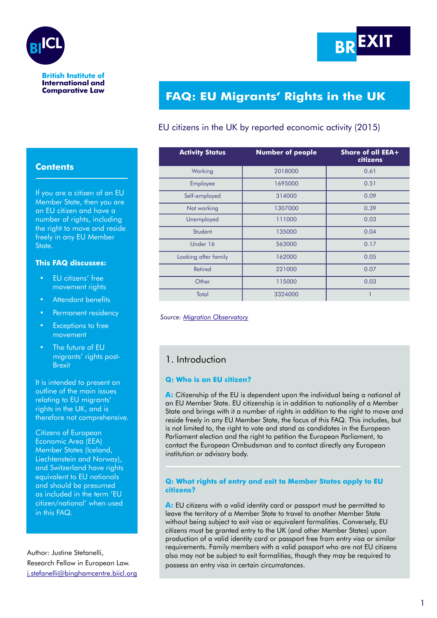



#### **British Institute of International and Comparative Law**

# **FAQ: EU Migrants' Rights in the UK**

# EU citizens in the UK by reported economic activity (2015)

| <b>Activity Status</b> | <b>Number of people</b> | Share of all EEA+<br>citizens |
|------------------------|-------------------------|-------------------------------|
| Working                | 2018000                 | 0.61                          |
| Employee               | 1695000                 | 0.51                          |
| Self-employed          | 314000                  | 0.09                          |
| Not working            | 1307000                 | 0.39                          |
| Unemployed             | 111000                  | 0.03                          |
| Student                | 135000                  | 0.04                          |
| Under 16               | 563000                  | 0.17                          |
| Looking after family   | 162000                  | 0.05                          |
| <b>Retired</b>         | 221000                  | 0.07                          |
| Other                  | 115000                  | 0.03                          |
| Total                  | 3324000                 |                               |

 *Source: [Migration Observatory](http://www.migrationobservatory.ox.ac.uk/resources/commentaries/today-gone-tomorrow-status-eu-citizens-already-living-uk/)*

# 1. Introduction

### **Q: Who is an EU citizen?**

A: Citizenship of the EU is dependent upon the individual being a national of an EU Member State. EU citizenship is in addition to nationality of a Member State and brings with it a number of rights in addition to the right to move and reside freely in any EU Member State, the focus of this FAQ. This includes, but is not limited to, the right to vote and stand as candidates in the European Parliament election and the right to petition the European Parliament, to contact the European Ombudsman and to contact directly any European institution or advisory body.

#### **Q: What rights of entry and exit to Member States apply to EU citizens?**

A: EU citizens with a valid identity card or passport must be permitted to leave the territory of a Member State to travel to another Member State without being subject to exit visa or equivalent formalities. Conversely, EU citizens must be granted entry to the UK (and other Member States) upon production of a valid identity card or passport free from entry visa or similar requirements. Family members with a valid passport who are not EU citizens also may not be subject to exit formalities, though they may be required to possess an entry visa in certain circumstances.

# **Contents**

If you are a citizen of an EU Member State, then you are an EU citizen and have a number of rights, including the right to move and reside freely in any EU Member State.

#### **This FAQ discusses:**

- **EU** citizens' free movement rights
- **Attendant benefits**
- Permanent residency
- **Exceptions to free** movement
- The future of EU migrants' rights post-Brexit

It is intended to present an outline of the main issues relating to EU migrants' rights in the UK, and is therefore not comprehensive.

Citizens of European Economic Area (EEA) Member States (Iceland, Liechtenstein and Norway), and Switzerland have rights equivalent to EU nationals and should be presumed as included in the term 'EU citizen/national' when used in this FAQ.

Author: Justine Stefanelli, Research Fellow in European Law. [j.stefanelli@binghamcentre.biicl.org](mailto:j.stefanelli%40binghamcentrebiicl.org?subject=)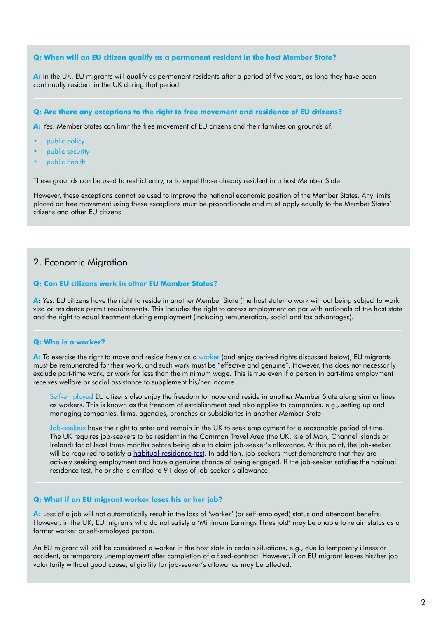#### **Q: When will an EU citizen qualify as a permanent resident in the host Member State?**

**A:** In the UK, EU migrants will qualify as permanent residents after a period of five years, as long they have been continually resident in the UK during that period.

#### **Q: Are there any exceptions to the right to free movement and residence of EU citizens?**

**A:** Yes. Member States can limit the free movement of EU citizens and their families on grounds of:

- public policy
- public security
- public health

These grounds can be used to restrict entry, or to expel those already resident in a host Member State.

However, these exceptions cannot be used to improve the national economic position of the Member States. Any limits placed on free movement using these exceptions must be proportionate and must apply equally to the Member States' citizens and other EU citizens

## 2. Economic Migration

#### **Q: Can EU citizens work in other EU Member States?**

A: Yes. EU citizens have the right to reside in another Member State (the host state) to work without being subject to work visa or residence permit requirements. This includes the right to access employment on par with nationals of the host state and the right to equal treatment during employment (including remuneration, social and tax advantages).

#### **Q: Who is a worker?**

A: To exercise the right to move and reside freely as a worker (and enjoy derived rights discussed below), EU migrants must be remunerated for their work, and such work must be "effective and genuine". However, this does not necessarily exclude part-time work, or work for less than the minimum wage. This is true even if a person in part-time employment receives welfare or social assistance to supplement his/her income.

Self-employed EU citizens also enjoy the freedom to move and reside in another Member State along similar lines as workers. This is known as the freedom of establishment and also applies to companies, e.g., setting up and managing companies, firms, agencies, branches or subsidiaries in another Member State.

Job-seekers have the right to enter and remain in the UK to seek employment for a reasonable period of time. The UK requires job-seekers to be resident in the Common Travel Area (the UK, Isle of Man, Channel Islands or Ireland) for at least three months before being able to claim job-seeker's allowance. At this point, the job-seeker will be required to satisfy a [habitual residence test.](https://www.citizensadvice.org.uk/benefits/coming-from-abroad-and-claiming-benefits-the-habitual-residence-test/the-habitual-residence-test-an-introduction/the-habitual-residence-test-how-a-decision-is-made/) In addition, job-seekers must demonstrate that they are actively seeking employment and have a genuine chance of being engaged. If the job-seeker satisfies the habitual residence test, he or she is entitled to 91 days of job-seeker's allowance.

#### **Q: What if an EU migrant worker loses his or her job?**

**A:** Loss of a job will not automatically result in the loss of 'worker' (or self-employed) status and attendant benefits. However, in the UK, EU migrants who do not satisfy a 'Minimum Earnings Threshold' may be unable to retain status as a former worker or self-employed person.

An EU migrant will still be considered a worker in the host state in certain situations, e.g., due to temporary illness or accident, or temporary unemployment after completion of a fixed-contract. However, if an EU migrant leaves his/her job voluntarily without good cause, eligibility for job-seeker's allowance may be affected.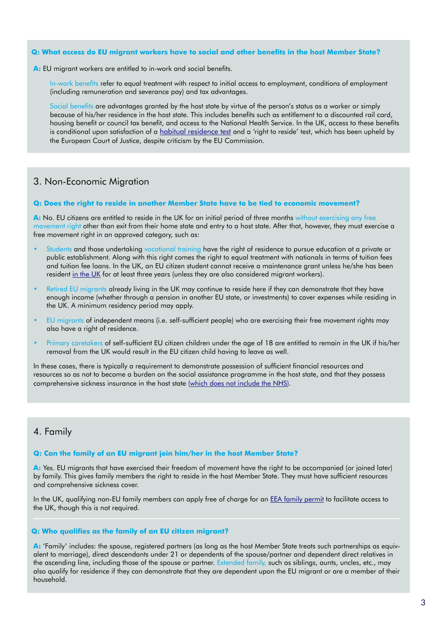#### **Q: What access do EU migrant workers have to social and other benefits in the host Member State?**

**A:** EU migrant workers are entitled to in-work and social benefits.

In-work benefits refer to equal treatment with respect to initial access to employment, conditions of employment (including remuneration and severance pay) and tax advantages.

Social benefits are advantages granted by the host state by virtue of the person's status as a worker or simply because of his/her residence in the host state. This includes benefits such as entitlement to a discounted rail card, housing benefit or council tax benefit, and access to the National Health Service. In the UK, access to these benefits is conditional upon satisfaction of a [habitual residence test](https://www.citizensadvice.org.uk/benefits/coming-from-abroad-and-claiming-benefits-the-habitual-residence-test/the-habitual-residence-test-an-introduction/the-habitual-residence-test-how-a-decision-is-made/) and a 'right to reside' test, which has been upheld by the European Court of Justice, despite criticism by the EU Commission.

# 3. Non-Economic Migration

#### **Q: Does the right to reside in another Member State have to be tied to economic movement?**

**A:** No. EU citizens are entitled to reside in the UK for an initial period of three months without exercising any free movement right other than exit from their home state and entry to a host state. After that, however, they must exercise a free movement right in an approved category, such as:

- Students and those undertaking vocational training have the right of residence to pursue education at a private or public establishment. Along with this right comes the right to equal treatment with nationals in terms of tuition fees and tuition fee loans. In the UK, an EU citizen student cannot receive a maintenance grant unless he/she has been resident [in the UK](https://www.gov.uk/student-finance/eu-students) for at least three years (unless they are also considered migrant workers).
- Retired EU migrants already living in the UK may continue to reside here if they can demonstrate that they have enough income (whether through a pension in another EU state, or investments) to cover expenses while residing in the UK. A minimum residency period may apply.
- EU migrants of independent means (i.e. self-sufficient people) who are exercising their free movement rights may also have a right of residence.
- Primary caretakers of self-sufficient EU citizen children under the age of 18 are entitled to remain in the UK if his/her removal from the UK would result in the EU citizen child having to leave as well.

In these cases, there is typically a requirement to demonstrate possession of sufficient financial resources and resources so as not to become a burden on the social assistance programme in the host state, and that they possess comprehensive sickness insurance in the host state [\(which does not include the NHS](https://www.freemovement.org.uk/comprehensive-sickness-insurance-what-is-it-and-who-needs-it/)).

# 4. Family

#### **Q: Can the family of an EU migrant join him/her in the host Member State?**

**A:** Yes. EU migrants that have exercised their freedom of movement have the right to be accompanied (or joined later) by family. This gives family members the right to reside in the host Member State. They must have sufficient resources and comprehensive sickness cover.

In the UK, qualifying non-EU family members can apply free of charge for an **EEA family permit** to facilitate access to the UK, though this is not required.

#### **Q: Who qualifies as the family of an EU citizen migrant?**

**A:** 'Family' includes: the spouse, registered partners (as long as the host Member State treats such partnerships as equivalent to marriage), direct descendants under 21 or dependents of the spouse/partner and dependent direct relatives in the ascending line, including those of the spouse or partner. Extended family, such as siblings, aunts, uncles, etc., may also qualify for residence if they can demonstrate that they are dependent upon the EU migrant or are a member of their household.